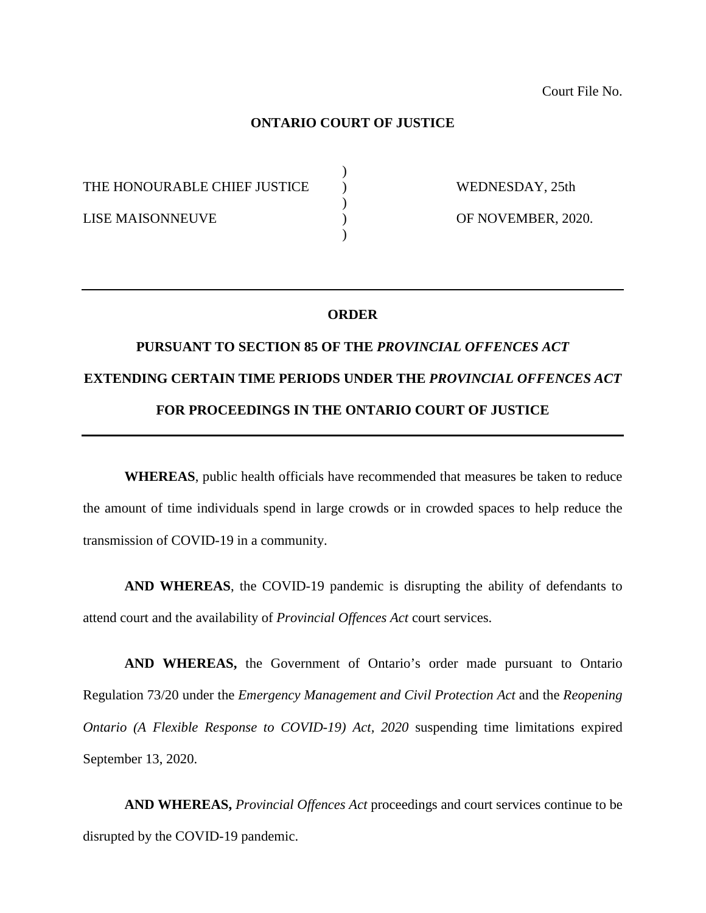## **ONTARIO COURT OF JUSTICE**

 $\lambda$ 

)

 $\lambda$ 

THE HONOURABLE CHIEF JUSTICE  $\qquad$  ) WEDNESDAY, 25th

LISE MAISONNEUVE ) OF NOVEMBER, 2020.

## **ORDER**

## **PURSUANT TO SECTION 85 OF THE** *PROVINCIAL OFFENCES ACT* **EXTENDING CERTAIN TIME PERIODS UNDER THE** *PROVINCIAL OFFENCES ACT* **FOR PROCEEDINGS IN THE ONTARIO COURT OF JUSTICE**

**WHEREAS**, public health officials have recommended that measures be taken to reduce the amount of time individuals spend in large crowds or in crowded spaces to help reduce the transmission of COVID-19 in a community.

**AND WHEREAS**, the COVID-19 pandemic is disrupting the ability of defendants to attend court and the availability of *Provincial Offences Act* court services.

**AND WHEREAS,** the Government of Ontario's order made pursuant to Ontario Regulation 73/20 under the *Emergency Management and Civil Protection Act* and the *Reopening Ontario (A Flexible Response to COVID-19) Act, 2020* suspending time limitations expired September 13, 2020.

**AND WHEREAS,** *Provincial Offences Act* proceedings and court services continue to be disrupted by the COVID-19 pandemic.